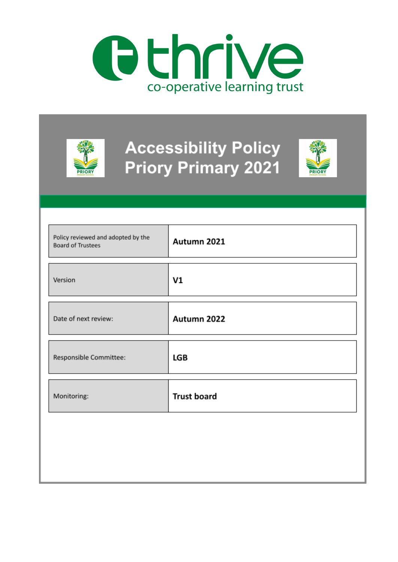

|                                                                | <b>Accessibility Policy</b><br><b>Priory Primary 2021</b><br><b>PRIOR'</b> |
|----------------------------------------------------------------|----------------------------------------------------------------------------|
| Policy reviewed and adopted by the<br><b>Board of Trustees</b> | Autumn 2021                                                                |
| Version                                                        | V <sub>1</sub>                                                             |
| Date of next review:                                           | Autumn 2022                                                                |
| Responsible Committee:                                         | <b>LGB</b>                                                                 |
| Monitoring:                                                    | <b>Trust board</b>                                                         |
|                                                                |                                                                            |
|                                                                |                                                                            |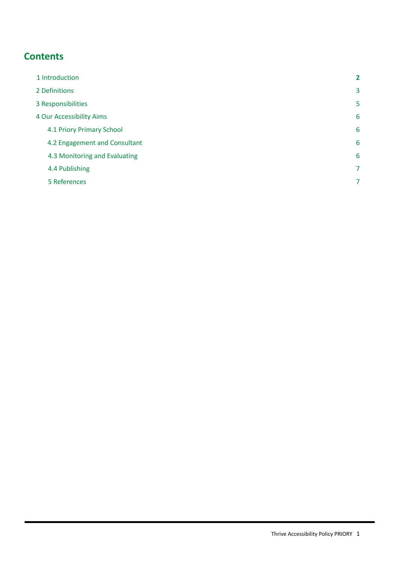# **Contents**

<span id="page-1-0"></span>

| 1 Introduction                | $\mathbf{2}$   |
|-------------------------------|----------------|
| 2 Definitions                 | 3              |
| 3 Responsibilities            | 5              |
| 4 Our Accessibility Aims      | 6              |
| 4.1 Priory Primary School     | 6              |
| 4.2 Engagement and Consultant | 6              |
| 4.3 Monitoring and Evaluating | 6              |
| 4.4 Publishing                | $\overline{7}$ |
| 5 References                  | 7              |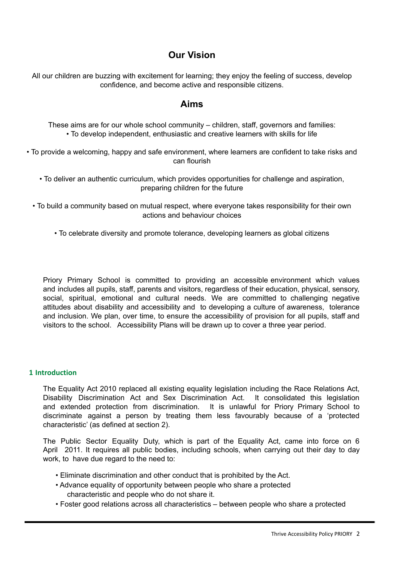## **Our Vision**

All our children are buzzing with excitement for learning; they enjoy the feeling of success, develop confidence, and become active and responsible citizens.

### **Aims**

These aims are for our whole school community – children, staff, governors and families: • To develop independent, enthusiastic and creative learners with skills for life

• To provide a welcoming, happy and safe environment, where learners are confident to take risks and can flourish

• To deliver an authentic curriculum, which provides opportunities for challenge and aspiration, preparing children for the future

• To build a community based on mutual respect, where everyone takes responsibility for their own actions and behaviour choices

• To celebrate diversity and promote tolerance, developing learners as global citizens

Priory Primary School is committed to providing an accessible environment which values and includes all pupils, staff, parents and visitors, regardless of their education, physical, sensory, social, spiritual, emotional and cultural needs. We are committed to challenging negative attitudes about disability and accessibility and to developing a culture of awareness, tolerance and inclusion. We plan, over time, to ensure the accessibility of provision for all pupils, staff and visitors to the school. Accessibility Plans will be drawn up to cover a three year period.

#### <span id="page-2-0"></span>**1 Introduction**

The Equality Act 2010 replaced all existing equality legislation including the Race Relations Act, Disability Discrimination Act and Sex Discrimination Act. It consolidated this legislation and extended protection from discrimination. It is unlawful for Priory Primary School to discriminate against a person by treating them less favourably because of a 'protected characteristic' (as defined at section 2).

The Public Sector Equality Duty, which is part of the Equality Act, came into force on 6 April 2011. It requires all public bodies, including schools, when carrying out their day to day work, to have due regard to the need to:

- Eliminate discrimination and other conduct that is prohibited by the Act.
- Advance equality of opportunity between people who share a protected characteristic and people who do not share it.
- Foster good relations across all characteristics between people who share a protected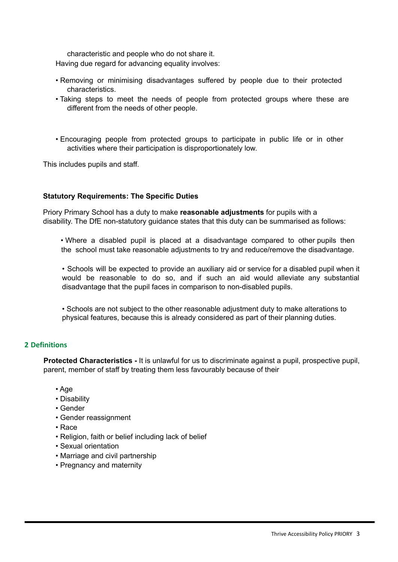characteristic and people who do not share it.

Having due regard for advancing equality involves:

- Removing or minimising disadvantages suffered by people due to their protected characteristics.
- Taking steps to meet the needs of people from protected groups where these are different from the needs of other people.
- Encouraging people from protected groups to participate in public life or in other activities where their participation is disproportionately low.

This includes pupils and staff.

#### **Statutory Requirements: The Specific Duties**

Priory Primary School has a duty to make **reasonable adjustments** for pupils with a disability. The DfE non-statutory guidance states that this duty can be summarised as follows:

• Where a disabled pupil is placed at a disadvantage compared to other pupils then the school must take reasonable adjustments to try and reduce/remove the disadvantage.

• Schools will be expected to provide an auxiliary aid or service for a disabled pupil when it would be reasonable to do so, and if such an aid would alleviate any substantial disadvantage that the pupil faces in comparison to non-disabled pupils.

• Schools are not subject to the other reasonable adjustment duty to make alterations to physical features, because this is already considered as part of their planning duties.

#### <span id="page-3-0"></span>**2 Definitions**

**Protected Characteristics -** It is unlawful for us to discriminate against a pupil, prospective pupil, parent, member of staff by treating them less favourably because of their

- Age
- Disability
- Gender
- Gender reassignment
- Race
- Religion, faith or belief including lack of belief
- Sexual orientation
- Marriage and civil partnership
- Pregnancy and maternity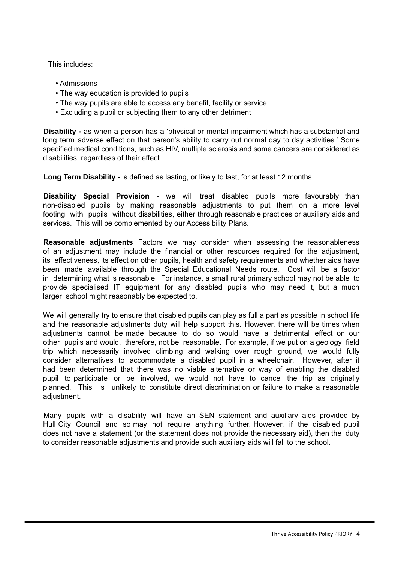This includes:

- Admissions
- The way education is provided to pupils
- The way pupils are able to access any benefit, facility or service
- Excluding a pupil or subjecting them to any other detriment

**Disability -** as when a person has a 'physical or mental impairment which has a substantial and long term adverse effect on that person's ability to carry out normal day to day activities.' Some specified medical conditions, such as HIV, multiple sclerosis and some cancers are considered as disabilities, regardless of their effect.

**Long Term Disability -** is defined as lasting, or likely to last, for at least 12 months.

**Disability Special Provision** - we will treat disabled pupils more favourably than non-disabled pupils by making reasonable adjustments to put them on a more level footing with pupils without disabilities, either through reasonable practices or auxiliary aids and services. This will be complemented by our Accessibility Plans.

**Reasonable adjustments** Factors we may consider when assessing the reasonableness of an adjustment may include the financial or other resources required for the adjustment, its effectiveness, its effect on other pupils, health and safety requirements and whether aids have been made available through the Special Educational Needs route. Cost will be a factor in determining what is reasonable. For instance, a small rural primary school may not be able to provide specialised IT equipment for any disabled pupils who may need it, but a much larger school might reasonably be expected to.

We will generally try to ensure that disabled pupils can play as full a part as possible in school life and the reasonable adjustments duty will help support this. However, there will be times when adjustments cannot be made because to do so would have a detrimental effect on our other pupils and would, therefore, not be reasonable. For example, if we put on a geology field trip which necessarily involved climbing and walking over rough ground, we would fully consider alternatives to accommodate a disabled pupil in a wheelchair. However, after it had been determined that there was no viable alternative or way of enabling the disabled pupil to participate or be involved, we would not have to cancel the trip as originally planned. This is unlikely to constitute direct discrimination or failure to make a reasonable adjustment.

Many pupils with a disability will have an SEN statement and auxiliary aids provided by Hull City Council and so may not require anything further. However, if the disabled pupil does not have a statement (or the statement does not provide the necessary aid), then the duty to consider reasonable adjustments and provide such auxiliary aids will fall to the school.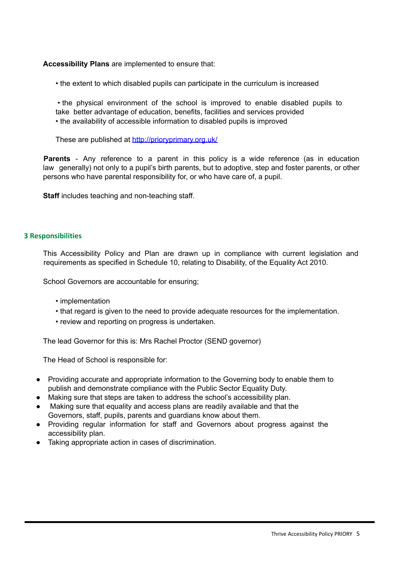**Accessibility Plans** are implemented to ensure that:

• the extent to which disabled pupils can participate in the curriculum is increased

• the physical environment of the school is improved to enable disabled pupils to take better advantage of education, benefits, facilities and services provided • the availability of accessible information to disabled pupils is improved

These are published at http://prioryprimary.org.uk/

**Parents** - Any reference to a parent in this policy is a wide reference (as in education law generally) not only to a pupil's birth parents, but to adoptive, step and foster parents, or other persons who have parental responsibility for, or who have care of, a pupil.

**Staff** includes teaching and non-teaching staff.

#### <span id="page-5-0"></span>**3 Responsibilities**

This Accessibility Policy and Plan are drawn up in compliance with current legislation and requirements as specified in Schedule 10, relating to Disability, of the Equality Act 2010.

School Governors are accountable for ensuring;

- implementation
- that regard is given to the need to provide adequate resources for the implementation.
- review and reporting on progress is undertaken.

The lead Governor for this is: Mrs Rachel Proctor (SEND governor)

The Head of School is responsible for:

- Providing accurate and appropriate information to the Governing body to enable them to publish and demonstrate compliance with the Public Sector Equality Duty.
- Making sure that steps are taken to address the school's accessibility plan.
- Making sure that equality and access plans are readily available and that the Governors, staff, pupils, parents and guardians know about them.
- Providing regular information for staff and Governors about progress against the accessibility plan.
- Taking appropriate action in cases of discrimination.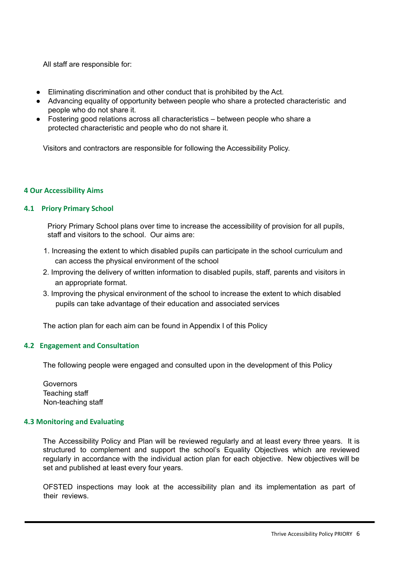All staff are responsible for:

- Eliminating discrimination and other conduct that is prohibited by the Act.
- Advancing equality of opportunity between people who share a protected characteristic and people who do not share it.
- Fostering good relations across all characteristics between people who share a protected characteristic and people who do not share it.

Visitors and contractors are responsible for following the Accessibility Policy.

#### <span id="page-6-1"></span><span id="page-6-0"></span>**4 Our Accessibility Aims**

#### **4.1 Priory Primary School**

Priory Primary School plans over time to increase the accessibility of provision for all pupils, staff and visitors to the school. Our aims are:

- 1. Increasing the extent to which disabled pupils can participate in the school curriculum and can access the physical environment of the school
- 2. Improving the delivery of written information to disabled pupils, staff, parents and visitors in an appropriate format.
- 3. Improving the physical environment of the school to increase the extent to which disabled pupils can take advantage of their education and associated services

The action plan for each aim can be found in Appendix I of this Policy

#### <span id="page-6-2"></span>**4.2 Engagement and Consultation**

The following people were engaged and consulted upon in the development of this Policy

**Governors** Teaching staff Non-teaching staff

#### <span id="page-6-3"></span>**4.3 Monitoring and Evaluating**

The Accessibility Policy and Plan will be reviewed regularly and at least every three years. It is structured to complement and support the school's Equality Objectives which are reviewed regularly in accordance with the individual action plan for each objective. New objectives will be set and published at least every four years.

OFSTED inspections may look at the accessibility plan and its implementation as part of their reviews.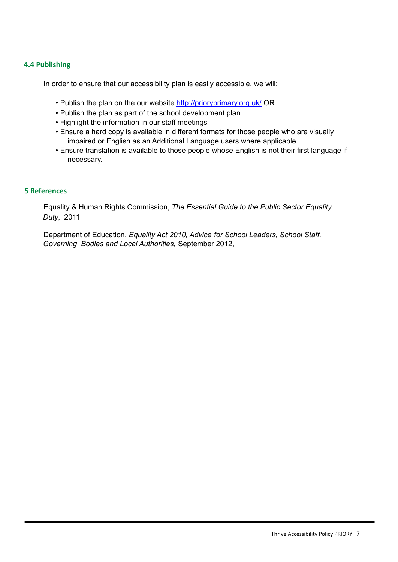#### <span id="page-7-0"></span>**4.4 Publishing**

In order to ensure that our accessibility plan is easily accessible, we will:

- Publish the plan on the our website http://prioryprimary.org.uk/ OR
- Publish the plan as part of the school development plan
- Highlight the information in our staff meetings
- Ensure a hard copy is available in different formats for those people who are visually impaired or English as an Additional Language users where applicable.
- Ensure translation is available to those people whose English is not their first language if necessary.

#### <span id="page-7-1"></span>**5 References**

Equality & Human Rights Commission, *The Essential Guide to the Public Sector Equality Duty*, 2011

Department of Education, *Equality Act 2010, Advice for School Leaders, School Staff, Governing Bodies and Local Authorities,* September 2012,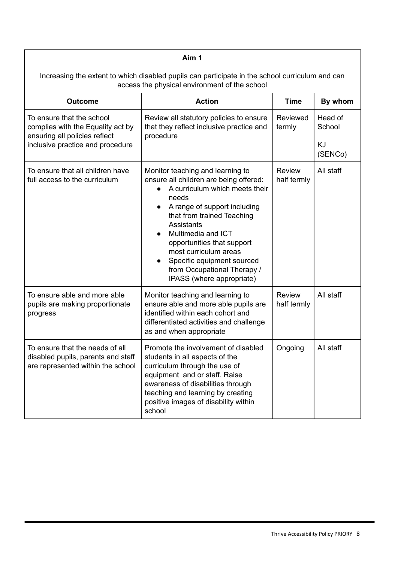| Aim 1                                                                                                                                            |                                                                                                                                                                                                                                                                                                                                                                                       |                              |                                    |  |  |
|--------------------------------------------------------------------------------------------------------------------------------------------------|---------------------------------------------------------------------------------------------------------------------------------------------------------------------------------------------------------------------------------------------------------------------------------------------------------------------------------------------------------------------------------------|------------------------------|------------------------------------|--|--|
| Increasing the extent to which disabled pupils can participate in the school curriculum and can<br>access the physical environment of the school |                                                                                                                                                                                                                                                                                                                                                                                       |                              |                                    |  |  |
| <b>Outcome</b>                                                                                                                                   | <b>Action</b>                                                                                                                                                                                                                                                                                                                                                                         | <b>Time</b>                  | By whom                            |  |  |
| To ensure that the school<br>complies with the Equality act by<br>ensuring all policies reflect<br>inclusive practice and procedure              | Review all statutory policies to ensure<br>that they reflect inclusive practice and<br>procedure                                                                                                                                                                                                                                                                                      | Reviewed<br>termly           | Head of<br>School<br>KJ<br>(SENCo) |  |  |
| To ensure that all children have<br>full access to the curriculum                                                                                | Monitor teaching and learning to<br>ensure all children are being offered:<br>A curriculum which meets their<br>needs<br>A range of support including<br>that from trained Teaching<br>Assistants<br>Multimedia and ICT<br>$\bullet$<br>opportunities that support<br>most curriculum areas<br>Specific equipment sourced<br>from Occupational Therapy /<br>IPASS (where appropriate) | <b>Review</b><br>half termly | All staff                          |  |  |
| To ensure able and more able<br>pupils are making proportionate<br>progress                                                                      | Monitor teaching and learning to<br>ensure able and more able pupils are<br>identified within each cohort and<br>differentiated activities and challenge<br>as and when appropriate                                                                                                                                                                                                   | <b>Review</b><br>half termly | All staff                          |  |  |
| To ensure that the needs of all<br>disabled pupils, parents and staff<br>are represented within the school                                       | Promote the involvement of disabled<br>students in all aspects of the<br>curriculum through the use of<br>equipment and or staff. Raise<br>awareness of disabilities through<br>teaching and learning by creating<br>positive images of disability within<br>school                                                                                                                   | Ongoing                      | All staff                          |  |  |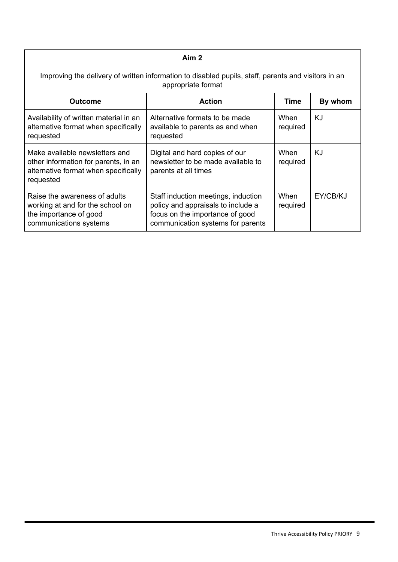| Aim <sub>2</sub>                                                                                                            |                                                                                                                                                   |                  |          |  |  |
|-----------------------------------------------------------------------------------------------------------------------------|---------------------------------------------------------------------------------------------------------------------------------------------------|------------------|----------|--|--|
| Improving the delivery of written information to disabled pupils, staff, parents and visitors in an<br>appropriate format   |                                                                                                                                                   |                  |          |  |  |
| <b>Outcome</b>                                                                                                              | <b>Action</b>                                                                                                                                     | <b>Time</b>      | By whom  |  |  |
| Availability of written material in an<br>alternative format when specifically<br>requested                                 | Alternative formats to be made<br>available to parents as and when<br>requested                                                                   | When<br>required | KJ       |  |  |
| Make available newsletters and<br>other information for parents, in an<br>alternative format when specifically<br>requested | Digital and hard copies of our<br>newsletter to be made available to<br>parents at all times                                                      | When<br>required | KJ       |  |  |
| Raise the awareness of adults<br>working at and for the school on<br>the importance of good<br>communications systems       | Staff induction meetings, induction<br>policy and appraisals to include a<br>focus on the importance of good<br>communication systems for parents | When<br>required | EY/CB/KJ |  |  |